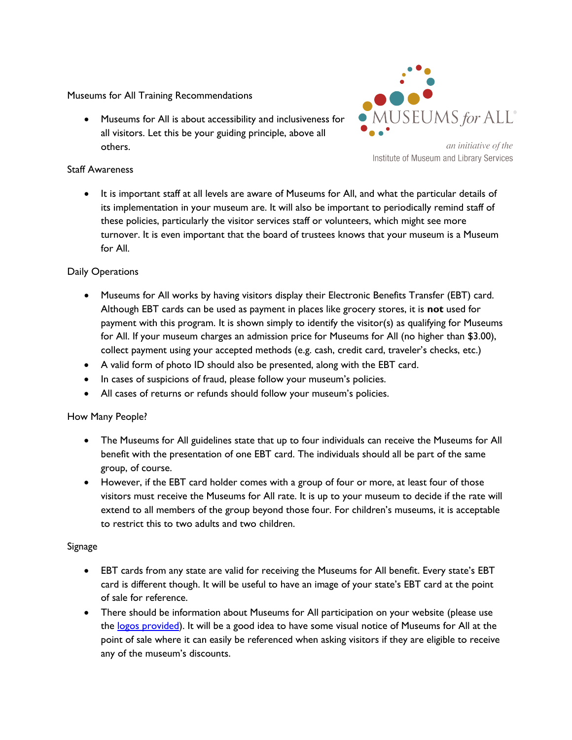Museums for All Training Recommendations

 Museums for All is about accessibility and inclusiveness for all visitors. Let this be your guiding principle, above all others.



an initiative of the Institute of Museum and Library Services

## Staff Awareness

 It is important staff at all levels are aware of Museums for All, and what the particular details of its implementation in your museum are. It will also be important to periodically remind staff of these policies, particularly the visitor services staff or volunteers, which might see more turnover. It is even important that the board of trustees knows that your museum is a Museum for All.

# Daily Operations

- Museums for All works by having visitors display their Electronic Benefits Transfer (EBT) card. Although EBT cards can be used as payment in places like grocery stores, it is **not** used for payment with this program. It is shown simply to identify the visitor(s) as qualifying for Museums for All. If your museum charges an admission price for Museums for All (no higher than \$3.00), collect payment using your accepted methods (e.g. cash, credit card, traveler's checks, etc.)
- A valid form of photo ID should also be presented, along with the EBT card.
- In cases of suspicions of fraud, please follow your museum's policies.
- All cases of returns or refunds should follow your museum's policies.

#### How Many People?

- The Museums for All guidelines state that up to four individuals can receive the Museums for All benefit with the presentation of one EBT card. The individuals should all be part of the same group, of course.
- However, if the EBT card holder comes with a group of four or more, at least four of those visitors must receive the Museums for All rate. It is up to your museum to decide if the rate will extend to all members of the group beyond those four. For children's museums, it is acceptable to restrict this to two adults and two children.

#### Signage

- EBT cards from any state are valid for receiving the Museums for All benefit. Every state's EBT card is different though. It will be useful to have an image of your state's EBT card at the point of sale for reference.
- There should be information about Museums for All participation on your website (please use the [logos provided\)](http://www.childrensmuseums.org/museums-for-all/toolkit.html). It will be a good idea to have some visual notice of Museums for All at the point of sale where it can easily be referenced when asking visitors if they are eligible to receive any of the museum's discounts.